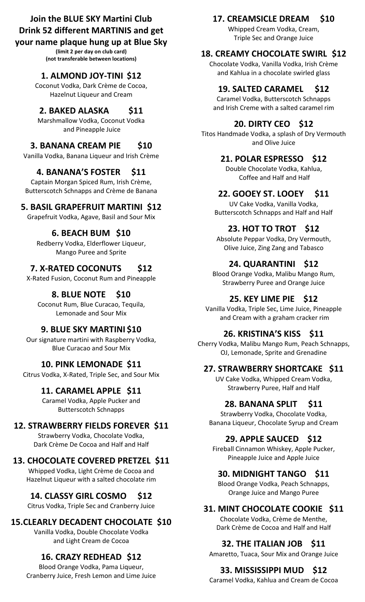# **Join the BLUE SKY Martini Club Drink 52 different MARTINIS and get**

### **your name plaque hung up at Blue Sky**

**(limit 2 per day on club card) (not transferable between locations)**

## **1. ALMOND JOY-TINI \$12**

Coconut Vodka, Dark Crème de Cocoa, Hazelnut Liqueur and Cream

## **2. BAKED ALASKA \$11**

Marshmallow Vodka, Coconut Vodka and Pineapple Juice

## **3. BANANA CREAM PIE \$10**

Vanilla Vodka, Banana Liqueur and Irish Crème

## **4. BANANA'S FOSTER \$11**

Captain Morgan Spiced Rum, Irish Crème, Butterscotch Schnapps and Crème de Banana

## **5. BASIL GRAPEFRUIT MARTINI \$12**

Grapefruit Vodka, Agave, Basil and Sour Mix

## **6. BEACH BUM \$10**

Redberry Vodka, Elderflower Liqueur, Mango Puree and Sprite

## **7. X-RATED COCONUTS \$12**

X-Rated Fusion, Coconut Rum and Pineapple

## **8. BLUE NOTE \$10**

Coconut Rum, Blue Curacao, Tequila, Lemonade and Sour Mix

## **9. BLUE SKY MARTINI \$10**

Our signature martini with Raspberry Vodka, Blue Curacao and Sour Mix

### **10. PINK LEMONADE \$11**

Citrus Vodka, X-Rated, Triple Sec, and Sour Mix

## **11. CARAMEL APPLE \$11**

Caramel Vodka, Apple Pucker and Butterscotch Schnapps

# **12. STRAWBERRY FIELDS FOREVER \$11**

Strawberry Vodka, Chocolate Vodka, Dark Crème De Cocoa and Half and Half

## **13. CHOCOLATE COVERED PRETZEL \$11**

Whipped Vodka, Light Crème de Cocoa and Hazelnut Liqueur with a salted chocolate rim

# **14. CLASSY GIRL COSMO \$12**

Citrus Vodka, Triple Sec and Cranberry Juice

# **15.CLEARLY DECADENT CHOCOLATE \$10**

Vanilla Vodka, Double Chocolate Vodka and Light Cream de Cocoa

# **16. CRAZY REDHEAD \$12**

Blood Orange Vodka, Pama Liqueur, Cranberry Juice, Fresh Lemon and Lime Juice

# **17. CREAMSICLE DREAM \$10**

Whipped Cream Vodka, Cream, Triple Sec and Orange Juice

# **18. CREAMY CHOCOLATE SWIRL \$12**

Chocolate Vodka, Vanilla Vodka, Irish Crème and Kahlua in a chocolate swirled glass

# **19. SALTED CARAMEL \$12**

Caramel Vodka, Butterscotch Schnapps and Irish Creme with a salted caramel rim

## **20. DIRTY CEO \$12**

Titos Handmade Vodka, a splash of Dry Vermouth and Olive Juice

## **21. POLAR ESPRESSO \$12**

Double Chocolate Vodka, Kahlua, Coffee and Half and Half

## **22. GOOEY ST. LOOEY \$11**

UV Cake Vodka, Vanilla Vodka, Butterscotch Schnapps and Half and Half

# **23. HOT TO TROT \$12**

Absolute Peppar Vodka, Dry Vermouth, Olive Juice, Zing Zang and Tabasco

# **24. QUARANTINI \$12**

Blood Orange Vodka, Malibu Mango Rum, Strawberry Puree and Orange Juice

## **25. KEY LIME PIE \$12**

Vanilla Vodka, Triple Sec, Lime Juice, Pineapple and Cream with a graham cracker rim

## **26. KRISTINA'S KISS \$11**

Cherry Vodka, Malibu Mango Rum, Peach Schnapps, OJ, Lemonade, Sprite and Grenadine

## **27. STRAWBERRY SHORTCAKE \$11**

UV Cake Vodka, Whipped Cream Vodka, Strawberry Puree, Half and Half

## **28. BANANA SPLIT \$11**

Strawberry Vodka, Chocolate Vodka, Banana Liqueur, Chocolate Syrup and Cream

## **29. APPLE SAUCED \$12**

Fireball Cinnamon Whiskey, Apple Pucker, Pineapple Juice and Apple Juice

## **30. MIDNIGHT TANGO \$11**

Blood Orange Vodka, Peach Schnapps, Orange Juice and Mango Puree

## **31. MINT CHOCOLATE COOKIE \$11**

Chocolate Vodka, Crème de Menthe, Dark Crème de Cocoa and Half and Half

## **32. THE ITALIAN JOB \$11**

Amaretto, Tuaca, Sour Mix and Orange Juice

# **33. MISSISSIPPI MUD \$12**

Caramel Vodka, Kahlua and Cream de Cocoa